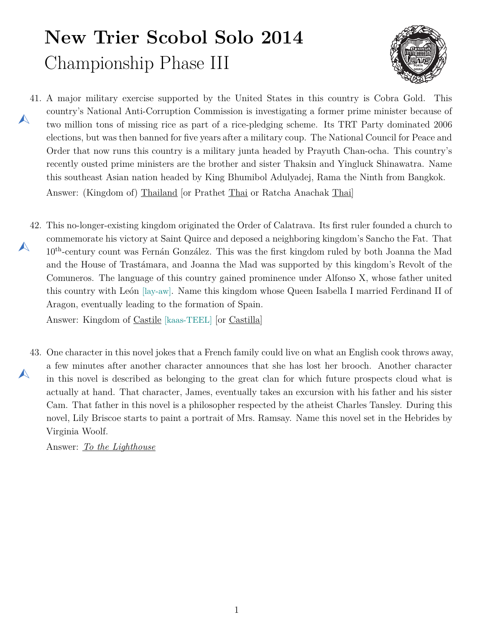## **New Trier Scobol Solo 2014** Championship Phase III



- <span id="page-0-0"></span>41. A major military exercise supported by the United States in this country is Cobra Gold. This  $\blacktriangle$ country's National Anti-Corruption Commission is investigating a former prime minister because of two million tons of missing rice as part of a rice-pledging scheme. Its TRT Party dominated 2006 elections, but was then banned for five years after a military coup. The National Council for Peace and Order that now runs this country is a military junta headed by Prayuth Chan-ocha. This country's recently ousted prime ministers are the brother and sister Thaksin and Yingluck Shinawatra. Name this southeast Asian nation headed by King Bhumibol Adulyadej, Rama the Ninth from Bangkok. Answer: (Kingdom of) Thailand [or Prathet Thai or Ratcha Anachak Thai]
- <span id="page-0-1"></span>42. This no-longer-existing kingdom originated the Order of Calatrava. Its first ruler founded a church to  $\blacktriangle$ commemorate his victory at Saint Quirce and deposed a neighboring kingdom's Sancho the Fat. That 10th-century count was Fernán González. This was the first kingdom ruled by both Joanna the Mad and the House of Trastámara, and Joanna the Mad was supported by this kingdom's Revolt of the Comuneros. The language of this country gained prominence under Alfonso X, whose father united this country with León [lay-aw]. Name this kingdom whose Queen Isabella I married Ferdinand II of Aragon, eventually leading to the formation of Spain.

Answer: Kingdom of Castile [kaas-TEEL] [or Castilla]

<span id="page-0-2"></span>43. One character in this novel jokes that a French family could live on what an English cook throws away,  $\blacktriangle$ a few minutes after another character announces that she has lost her brooch. Another character in this novel is described as belonging to the great clan for which future prospects cloud what is actually at hand. That character, James, eventually takes an excursion with his father and his sister Cam. That father in this novel is a philosopher respected by the atheist Charles Tansley. During this novel, Lily Briscoe starts to paint a portrait of Mrs. Ramsay. Name this novel set in the Hebrides by Virginia Woolf.

Answer: *To the Lighthouse*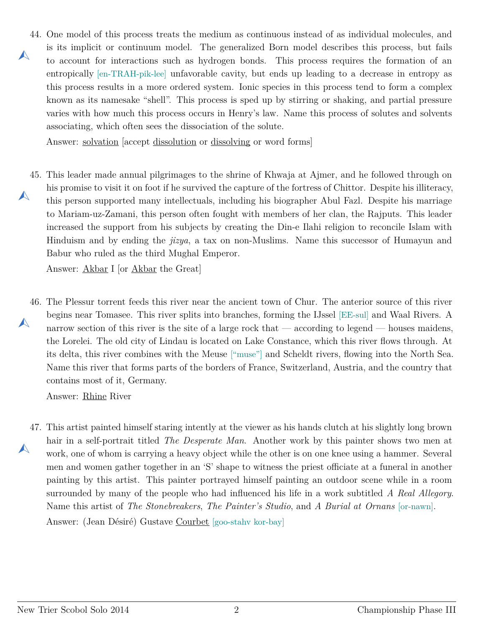<span id="page-1-0"></span>44. One model of this process treats the medium as continuous instead of as individual molecules, and  $\blacktriangle$ is its implicit or continuum model. The generalized Born model describes this process, but fails to account for interactions such as hydrogen bonds. This process requires the formation of an entropically [en-TRAH-pik-lee] unfavorable cavity, but ends up leading to a decrease in entropy as this process results in a more ordered system. Ionic species in this process tend to form a complex known as its namesake "shell". This process is sped up by stirring or shaking, and partial pressure varies with how much this process occurs in Henry's law. Name this process of solutes and solvents associating, which often sees the dissociation of the solute.

Answer: solvation [accept dissolution or dissolving or word forms]

<span id="page-1-1"></span>45. This leader made annual pilgrimages to the shrine of Khwaja at Ajmer, and he followed through on  $\blacktriangle$ his promise to visit it on foot if he survived the capture of the fortress of Chittor. Despite his illiteracy, this person supported many intellectuals, including his biographer Abul Fazl. Despite his marriage to Mariam-uz-Zamani, this person often fought with members of her clan, the Rajputs. This leader increased the support from his subjects by creating the Din-e Ilahi religion to reconcile Islam with Hinduism and by ending the *jizya*, a tax on non-Muslims. Name this successor of Humayun and Babur who ruled as the third Mughal Emperor.

Answer: Akbar I [or Akbar the Great]

<span id="page-1-2"></span>46. The Plessur torrent feeds this river near the ancient town of Chur. The anterior source of this river  $\blacktriangle$ begins near Tomasee. This river splits into branches, forming the IJssel [EE-sul] and Waal Rivers. A narrow section of this river is the site of a large rock that — according to legend — houses maidens, the Lorelei. The old city of Lindau is located on Lake Constance, which this river flows through. At its delta, this river combines with the Meuse ["muse"] and Scheldt rivers, flowing into the North Sea. Name this river that forms parts of the borders of France, Switzerland, Austria, and the country that contains most of it, Germany.

Answer: Rhine River

<span id="page-1-3"></span>47. This artist painted himself staring intently at the viewer as his hands clutch at his slightly long brown  $\blacktriangle$ hair in a self-portrait titled *The Desperate Man*. Another work by this painter shows two men at work, one of whom is carrying a heavy object while the other is on one knee using a hammer. Several men and women gather together in an 'S' shape to witness the priest officiate at a funeral in another painting by this artist. This painter portrayed himself painting an outdoor scene while in a room surrounded by many of the people who had influenced his life in a work subtitled *A Real Allegory*. Name this artist of *The Stonebreakers*, *The Painter's Studio*, and *A Burial at Ornans* [or-nawn].

Answer: (Jean Désiré) Gustave Courbet [goo-stahv kor-bay]